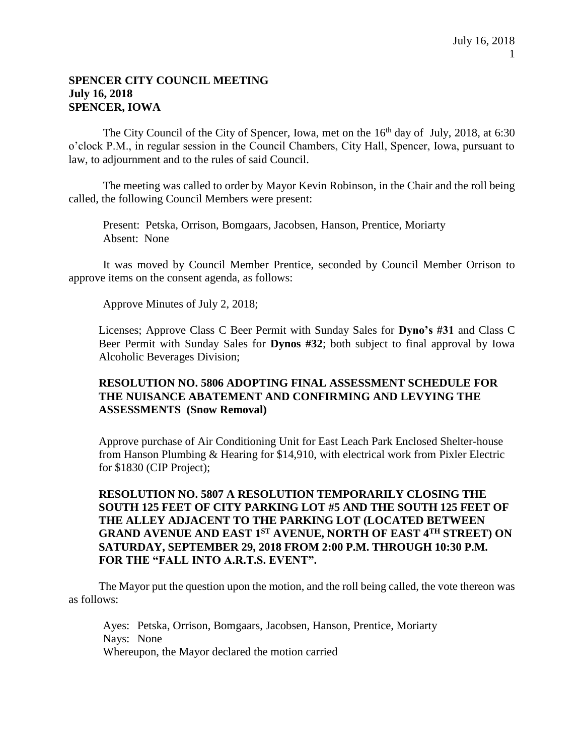#### **SPENCER CITY COUNCIL MEETING July 16, 2018 SPENCER, IOWA**

The City Council of the City of Spencer, Iowa, met on the  $16<sup>th</sup>$  day of July, 2018, at 6:30 o'clock P.M., in regular session in the Council Chambers, City Hall, Spencer, Iowa, pursuant to law, to adjournment and to the rules of said Council.

The meeting was called to order by Mayor Kevin Robinson, in the Chair and the roll being called, the following Council Members were present:

Present: Petska, Orrison, Bomgaars, Jacobsen, Hanson, Prentice, Moriarty Absent: None

It was moved by Council Member Prentice, seconded by Council Member Orrison to approve items on the consent agenda, as follows:

Approve Minutes of July 2, 2018;

Licenses; Approve Class C Beer Permit with Sunday Sales for **Dyno's #31** and Class C Beer Permit with Sunday Sales for **Dynos #32**; both subject to final approval by Iowa Alcoholic Beverages Division;

#### **RESOLUTION NO. 5806 ADOPTING FINAL ASSESSMENT SCHEDULE FOR THE NUISANCE ABATEMENT AND CONFIRMING AND LEVYING THE ASSESSMENTS (Snow Removal)**

Approve purchase of Air Conditioning Unit for East Leach Park Enclosed Shelter-house from Hanson Plumbing & Hearing for \$14,910, with electrical work from Pixler Electric for \$1830 (CIP Project);

# **RESOLUTION NO. 5807 A RESOLUTION TEMPORARILY CLOSING THE SOUTH 125 FEET OF CITY PARKING LOT #5 AND THE SOUTH 125 FEET OF THE ALLEY ADJACENT TO THE PARKING LOT (LOCATED BETWEEN GRAND AVENUE AND EAST 1ST AVENUE, NORTH OF EAST 4TH STREET) ON SATURDAY, SEPTEMBER 29, 2018 FROM 2:00 P.M. THROUGH 10:30 P.M. FOR THE "FALL INTO A.R.T.S. EVENT".**

The Mayor put the question upon the motion, and the roll being called, the vote thereon was as follows:

Ayes: Petska, Orrison, Bomgaars, Jacobsen, Hanson, Prentice, Moriarty Nays: None Whereupon, the Mayor declared the motion carried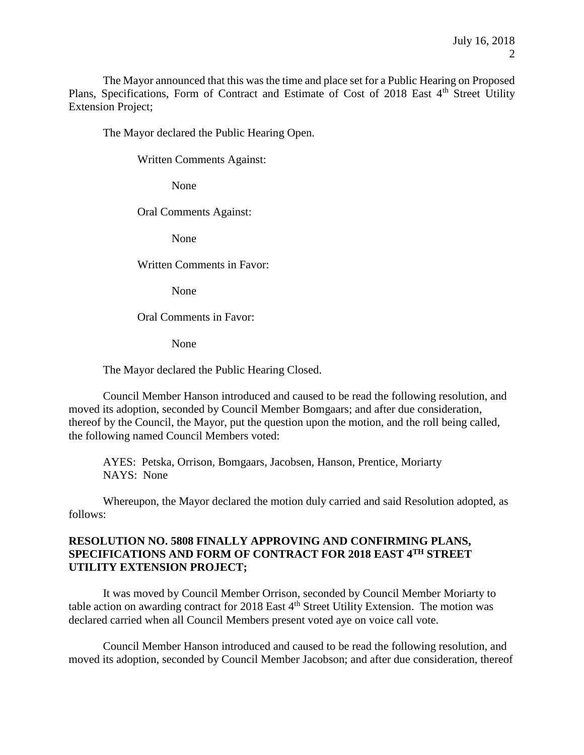The Mayor announced that this was the time and place set for a Public Hearing on Proposed Plans, Specifications, Form of Contract and Estimate of Cost of 2018 East 4<sup>th</sup> Street Utility Extension Project;

The Mayor declared the Public Hearing Open.

Written Comments Against:

None

Oral Comments Against:

None

Written Comments in Favor:

None

Oral Comments in Favor:

None

The Mayor declared the Public Hearing Closed.

Council Member Hanson introduced and caused to be read the following resolution, and moved its adoption, seconded by Council Member Bomgaars; and after due consideration, thereof by the Council, the Mayor, put the question upon the motion, and the roll being called, the following named Council Members voted:

AYES: Petska, Orrison, Bomgaars, Jacobsen, Hanson, Prentice, Moriarty NAYS: None

Whereupon, the Mayor declared the motion duly carried and said Resolution adopted, as follows:

# **RESOLUTION NO. 5808 FINALLY APPROVING AND CONFIRMING PLANS, SPECIFICATIONS AND FORM OF CONTRACT FOR 2018 EAST 4TH STREET UTILITY EXTENSION PROJECT;**

It was moved by Council Member Orrison, seconded by Council Member Moriarty to table action on awarding contract for 2018 East 4<sup>th</sup> Street Utility Extension. The motion was declared carried when all Council Members present voted aye on voice call vote.

Council Member Hanson introduced and caused to be read the following resolution, and moved its adoption, seconded by Council Member Jacobson; and after due consideration, thereof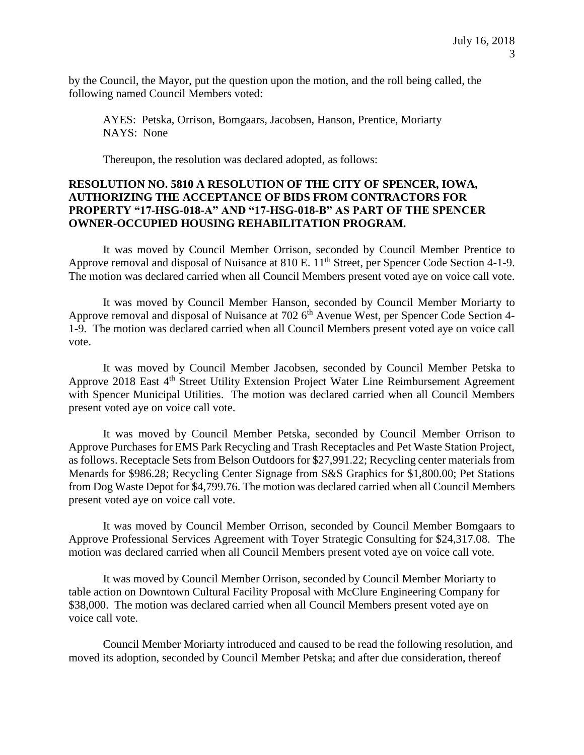by the Council, the Mayor, put the question upon the motion, and the roll being called, the following named Council Members voted:

AYES: Petska, Orrison, Bomgaars, Jacobsen, Hanson, Prentice, Moriarty NAYS: None

Thereupon, the resolution was declared adopted, as follows:

#### **RESOLUTION NO. 5810 A RESOLUTION OF THE CITY OF SPENCER, IOWA, AUTHORIZING THE ACCEPTANCE OF BIDS FROM CONTRACTORS FOR PROPERTY "17-HSG-018-A" AND "17-HSG-018-B" AS PART OF THE SPENCER OWNER-OCCUPIED HOUSING REHABILITATION PROGRAM.**

It was moved by Council Member Orrison, seconded by Council Member Prentice to Approve removal and disposal of Nuisance at 810 E. 11<sup>th</sup> Street, per Spencer Code Section 4-1-9. The motion was declared carried when all Council Members present voted aye on voice call vote.

It was moved by Council Member Hanson, seconded by Council Member Moriarty to Approve removal and disposal of Nuisance at 702 6<sup>th</sup> Avenue West, per Spencer Code Section 4-1-9. The motion was declared carried when all Council Members present voted aye on voice call vote.

It was moved by Council Member Jacobsen, seconded by Council Member Petska to Approve 2018 East 4<sup>th</sup> Street Utility Extension Project Water Line Reimbursement Agreement with Spencer Municipal Utilities. The motion was declared carried when all Council Members present voted aye on voice call vote.

It was moved by Council Member Petska, seconded by Council Member Orrison to Approve Purchases for EMS Park Recycling and Trash Receptacles and Pet Waste Station Project, as follows. Receptacle Sets from Belson Outdoors for \$27,991.22; Recycling center materials from Menards for \$986.28; Recycling Center Signage from S&S Graphics for \$1,800.00; Pet Stations from Dog Waste Depot for \$4,799.76. The motion was declared carried when all Council Members present voted aye on voice call vote.

It was moved by Council Member Orrison, seconded by Council Member Bomgaars to Approve Professional Services Agreement with Toyer Strategic Consulting for \$24,317.08. The motion was declared carried when all Council Members present voted aye on voice call vote.

It was moved by Council Member Orrison, seconded by Council Member Moriarty to table action on Downtown Cultural Facility Proposal with McClure Engineering Company for \$38,000. The motion was declared carried when all Council Members present voted aye on voice call vote.

Council Member Moriarty introduced and caused to be read the following resolution, and moved its adoption, seconded by Council Member Petska; and after due consideration, thereof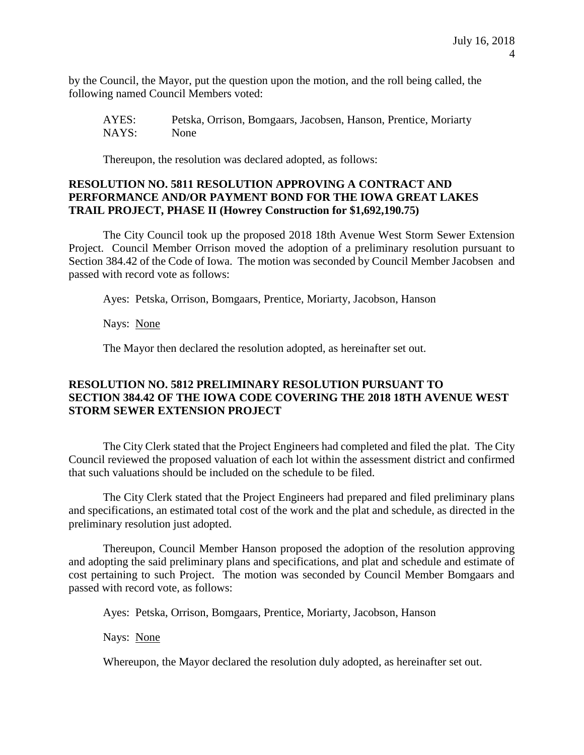by the Council, the Mayor, put the question upon the motion, and the roll being called, the following named Council Members voted:

AYES: Petska, Orrison, Bomgaars, Jacobsen, Hanson, Prentice, Moriarty NAYS: None

Thereupon, the resolution was declared adopted, as follows:

# **RESOLUTION NO. 5811 RESOLUTION APPROVING A CONTRACT AND PERFORMANCE AND/OR PAYMENT BOND FOR THE IOWA GREAT LAKES TRAIL PROJECT, PHASE II (Howrey Construction for \$1,692,190.75)**

The City Council took up the proposed 2018 18th Avenue West Storm Sewer Extension Project. Council Member Orrison moved the adoption of a preliminary resolution pursuant to Section 384.42 of the Code of Iowa. The motion was seconded by Council Member Jacobsen and passed with record vote as follows:

Ayes: Petska, Orrison, Bomgaars, Prentice, Moriarty, Jacobson, Hanson

Nays: None

The Mayor then declared the resolution adopted, as hereinafter set out.

## **RESOLUTION NO. 5812 PRELIMINARY RESOLUTION PURSUANT TO SECTION 384.42 OF THE IOWA CODE COVERING THE 2018 18TH AVENUE WEST STORM SEWER EXTENSION PROJECT**

The City Clerk stated that the Project Engineers had completed and filed the plat. The City Council reviewed the proposed valuation of each lot within the assessment district and confirmed that such valuations should be included on the schedule to be filed.

The City Clerk stated that the Project Engineers had prepared and filed preliminary plans and specifications, an estimated total cost of the work and the plat and schedule, as directed in the preliminary resolution just adopted.

Thereupon, Council Member Hanson proposed the adoption of the resolution approving and adopting the said preliminary plans and specifications, and plat and schedule and estimate of cost pertaining to such Project. The motion was seconded by Council Member Bomgaars and passed with record vote, as follows:

Ayes: Petska, Orrison, Bomgaars, Prentice, Moriarty, Jacobson, Hanson

Nays: None

Whereupon, the Mayor declared the resolution duly adopted, as hereinafter set out.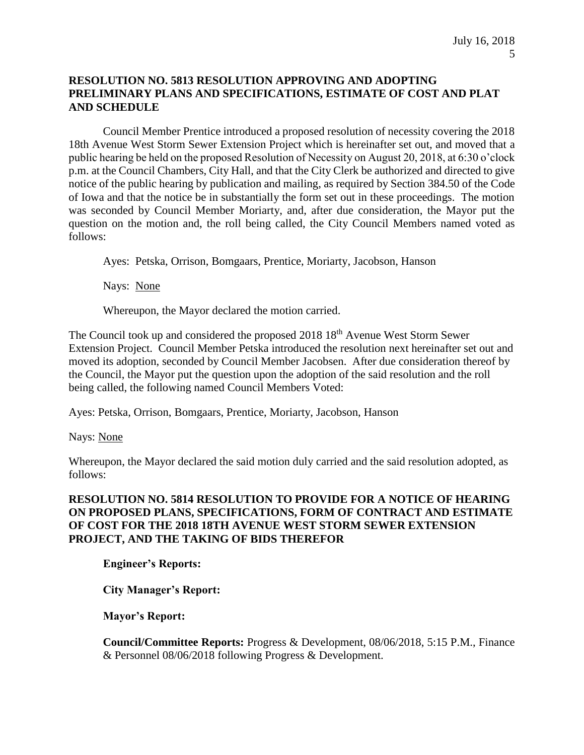# **RESOLUTION NO. 5813 RESOLUTION APPROVING AND ADOPTING PRELIMINARY PLANS AND SPECIFICATIONS, ESTIMATE OF COST AND PLAT AND SCHEDULE**

Council Member Prentice introduced a proposed resolution of necessity covering the 2018 18th Avenue West Storm Sewer Extension Project which is hereinafter set out, and moved that a public hearing be held on the proposed Resolution of Necessity on August 20, 2018, at 6:30 o'clock p.m. at the Council Chambers, City Hall, and that the City Clerk be authorized and directed to give notice of the public hearing by publication and mailing, as required by Section 384.50 of the Code of Iowa and that the notice be in substantially the form set out in these proceedings. The motion was seconded by Council Member Moriarty, and, after due consideration, the Mayor put the question on the motion and, the roll being called, the City Council Members named voted as follows:

Ayes: Petska, Orrison, Bomgaars, Prentice, Moriarty, Jacobson, Hanson

Nays: None

Whereupon, the Mayor declared the motion carried.

The Council took up and considered the proposed 2018 18<sup>th</sup> Avenue West Storm Sewer Extension Project. Council Member Petska introduced the resolution next hereinafter set out and moved its adoption, seconded by Council Member Jacobsen. After due consideration thereof by the Council, the Mayor put the question upon the adoption of the said resolution and the roll being called, the following named Council Members Voted:

Ayes: Petska, Orrison, Bomgaars, Prentice, Moriarty, Jacobson, Hanson

Nays: None

Whereupon, the Mayor declared the said motion duly carried and the said resolution adopted, as follows:

# **RESOLUTION NO. 5814 RESOLUTION TO PROVIDE FOR A NOTICE OF HEARING ON PROPOSED PLANS, SPECIFICATIONS, FORM OF CONTRACT AND ESTIMATE OF COST FOR THE 2018 18TH AVENUE WEST STORM SEWER EXTENSION PROJECT, AND THE TAKING OF BIDS THEREFOR**

**Engineer's Reports:** 

**City Manager's Report:** 

# **Mayor's Report:**

**Council/Committee Reports:** Progress & Development, 08/06/2018, 5:15 P.M., Finance & Personnel 08/06/2018 following Progress & Development.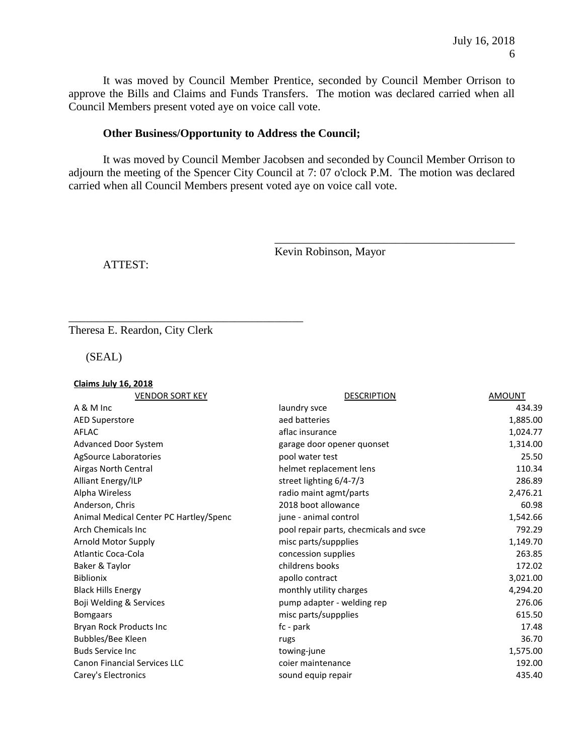It was moved by Council Member Prentice, seconded by Council Member Orrison to approve the Bills and Claims and Funds Transfers. The motion was declared carried when all Council Members present voted aye on voice call vote.

#### **Other Business/Opportunity to Address the Council;**

It was moved by Council Member Jacobsen and seconded by Council Member Orrison to adjourn the meeting of the Spencer City Council at 7: 07 o'clock P.M. The motion was declared carried when all Council Members present voted aye on voice call vote.

Kevin Robinson, Mayor

\_\_\_\_\_\_\_\_\_\_\_\_\_\_\_\_\_\_\_\_\_\_\_\_\_\_\_\_\_\_\_\_\_\_\_\_\_\_\_\_\_\_

ATTEST:

Theresa E. Reardon, City Clerk

\_\_\_\_\_\_\_\_\_\_\_\_\_\_\_\_\_\_\_\_\_\_\_\_\_\_\_\_\_\_\_\_\_\_\_\_\_\_\_\_\_

(SEAL)

| <b>Claims July 16, 2018</b>            |                                        |               |
|----------------------------------------|----------------------------------------|---------------|
| <b>VENDOR SORT KEY</b>                 | <b>DESCRIPTION</b>                     | <b>AMOUNT</b> |
| A & M Inc                              | laundry svce                           | 434.39        |
| <b>AED Superstore</b>                  | aed batteries                          | 1,885.00      |
| AFLAC                                  | aflac insurance                        | 1,024.77      |
| Advanced Door System                   | garage door opener quonset             | 1,314.00      |
| AgSource Laboratories                  | pool water test                        | 25.50         |
| Airgas North Central                   | helmet replacement lens                | 110.34        |
| Alliant Energy/ILP                     | street lighting 6/4-7/3                | 286.89        |
| Alpha Wireless                         | radio maint agmt/parts                 | 2,476.21      |
| Anderson, Chris                        | 2018 boot allowance                    | 60.98         |
| Animal Medical Center PC Hartley/Spenc | june - animal control                  | 1,542.66      |
| <b>Arch Chemicals Inc.</b>             | pool repair parts, checmicals and svce | 792.29        |
| Arnold Motor Supply                    | misc parts/suppplies                   | 1,149.70      |
| <b>Atlantic Coca-Cola</b>              | concession supplies                    | 263.85        |
| Baker & Taylor                         | childrens books                        | 172.02        |
| <b>Biblionix</b>                       | apollo contract                        | 3,021.00      |
| <b>Black Hills Energy</b>              | monthly utility charges                | 4,294.20      |
| Boji Welding & Services                | pump adapter - welding rep             | 276.06        |
| <b>Bomgaars</b>                        | misc parts/suppplies                   | 615.50        |
| Bryan Rock Products Inc                | fc - park                              | 17.48         |
| Bubbles/Bee Kleen                      | rugs                                   | 36.70         |
| <b>Buds Service Inc.</b>               | towing-june                            | 1,575.00      |
| <b>Canon Financial Services LLC</b>    | coier maintenance                      | 192.00        |
| Carey's Electronics                    | sound equip repair                     | 435.40        |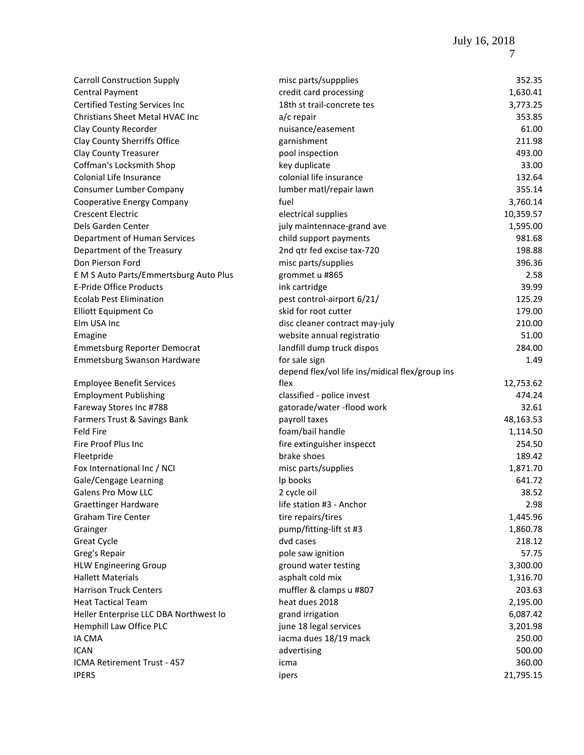| <b>Carroll Construction Supply</b>     | misc parts/suppplies                            | 352.35    |
|----------------------------------------|-------------------------------------------------|-----------|
| Central Payment                        | credit card processing                          | 1,630.41  |
| <b>Certified Testing Services Inc</b>  | 18th st trail-concrete tes                      | 3,773.25  |
| Christians Sheet Metal HVAC Inc        | a/c repair                                      | 353.85    |
| Clay County Recorder                   | nuisance/easement                               | 61.00     |
| Clay County Sherriffs Office           | garnishment                                     | 211.98    |
| <b>Clay County Treasurer</b>           | pool inspection                                 | 493.00    |
| Coffman's Locksmith Shop               | key duplicate                                   | 33.00     |
| Colonial Life Insurance                | colonial life insurance                         | 132.64    |
| Consumer Lumber Company                | lumber matl/repair lawn                         | 355.14    |
| Cooperative Energy Company             | fuel                                            | 3,760.14  |
| <b>Crescent Electric</b>               | electrical supplies                             | 10,359.57 |
| Dels Garden Center                     | july maintennace-grand ave                      | 1,595.00  |
| Department of Human Services           | child support payments                          | 981.68    |
| Department of the Treasury             | 2nd qtr fed excise tax-720                      | 198.88    |
| Don Pierson Ford                       | misc parts/supplies                             | 396.36    |
| E M S Auto Parts/Emmertsburg Auto Plus | grommet u #865                                  | 2.58      |
| <b>E-Pride Office Products</b>         | ink cartridge                                   | 39.99     |
| <b>Ecolab Pest Elimination</b>         | pest control-airport 6/21/                      | 125.29    |
| <b>Elliott Equipment Co</b>            | skid for root cutter                            | 179.00    |
| Elm USA Inc                            | disc cleaner contract may-july                  | 210.00    |
| Emagine                                | website annual registratio                      | 51.00     |
| <b>Emmetsburg Reporter Democrat</b>    | landfill dump truck dispos                      | 284.00    |
| Emmetsburg Swanson Hardware            | for sale sign                                   | 1.49      |
|                                        | depend flex/vol life ins/midical flex/group ins |           |
| <b>Employee Benefit Services</b>       | flex                                            | 12,753.62 |
| <b>Employment Publishing</b>           | classified - police invest                      | 474.24    |
| Fareway Stores Inc #788                | gatorade/water-flood work                       | 32.61     |
| Farmers Trust & Savings Bank           | payroll taxes                                   | 48,163.53 |
| <b>Feld Fire</b>                       | foam/bail handle                                | 1,114.50  |
| Fire Proof Plus Inc                    | fire extinguisher inspecct                      | 254.50    |
| Fleetpride                             | brake shoes                                     | 189.42    |
| Fox International Inc / NCI            | misc parts/supplies                             | 1,871.70  |
| Gale/Cengage Learning                  | Ip books                                        | 641.72    |
| <b>Galens Pro Mow LLC</b>              | 2 cycle oil                                     | 38.52     |
| <b>Graettinger Hardware</b>            | life station #3 - Anchor                        | 2.98      |
| <b>Graham Tire Center</b>              | tire repairs/tires                              | 1,445.96  |
| Grainger                               | pump/fitting-lift st #3                         | 1,860.78  |
| <b>Great Cycle</b>                     | dvd cases                                       | 218.12    |
| Greg's Repair                          | pole saw ignition                               | 57.75     |
| <b>HLW Engineering Group</b>           | ground water testing                            | 3,300.00  |
| <b>Hallett Materials</b>               | asphalt cold mix                                | 1,316.70  |
| <b>Harrison Truck Centers</b>          | muffler & clamps u #807                         | 203.63    |
| <b>Heat Tactical Team</b>              | heat dues 2018                                  | 2,195.00  |
| Heller Enterprise LLC DBA Northwest Io | grand irrigation                                | 6,087.42  |
| Hemphill Law Office PLC                | june 18 legal services                          | 3,201.98  |
| <b>IA CMA</b>                          | iacma dues 18/19 mack                           | 250.00    |
| <b>ICAN</b>                            | advertising                                     | 500.00    |
| ICMA Retirement Trust - 457            | icma                                            | 360.00    |
| <b>IPERS</b>                           | ipers                                           | 21,795.15 |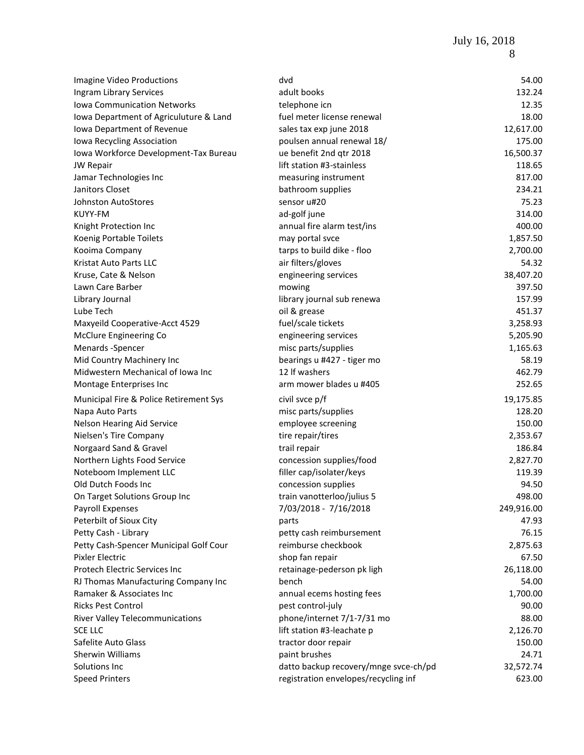July 16, 2018 8

| Imagine Video Productions              | dvd                                   | 54.00      |
|----------------------------------------|---------------------------------------|------------|
| Ingram Library Services                | adult books                           | 132.24     |
| <b>Iowa Communication Networks</b>     | telephone icn                         | 12.35      |
| Iowa Department of Agriculuture & Land | fuel meter license renewal            | 18.00      |
| Iowa Department of Revenue             | sales tax exp june 2018               | 12,617.00  |
| Iowa Recycling Association             | poulsen annual renewal 18/            | 175.00     |
| Iowa Workforce Development-Tax Bureau  | ue benefit 2nd qtr 2018               | 16,500.37  |
| <b>JW Repair</b>                       | lift station #3-stainless             | 118.65     |
| Jamar Technologies Inc                 | measuring instrument                  | 817.00     |
| Janitors Closet                        | bathroom supplies                     | 234.21     |
| <b>Johnston AutoStores</b>             | sensor u#20                           | 75.23      |
| KUYY-FM                                | ad-golf june                          | 314.00     |
| Knight Protection Inc                  | annual fire alarm test/ins            | 400.00     |
| Koenig Portable Toilets                | may portal svce                       | 1,857.50   |
| Kooima Company                         | tarps to build dike - floo            | 2,700.00   |
| Kristat Auto Parts LLC                 | air filters/gloves                    | 54.32      |
| Kruse, Cate & Nelson                   | engineering services                  | 38,407.20  |
| Lawn Care Barber                       | mowing                                | 397.50     |
| Library Journal                        | library journal sub renewa            | 157.99     |
| Lube Tech                              | oil & grease                          | 451.37     |
| Maxyeild Cooperative-Acct 4529         | fuel/scale tickets                    | 3,258.93   |
| McClure Engineering Co                 | engineering services                  | 5,205.90   |
| Menards -Spencer                       | misc parts/supplies                   | 1,165.63   |
| Mid Country Machinery Inc              | bearings u #427 - tiger mo            | 58.19      |
| Midwestern Mechanical of Iowa Inc      | 12 If washers                         | 462.79     |
| Montage Enterprises Inc                | arm mower blades u #405               | 252.65     |
|                                        |                                       |            |
| Municipal Fire & Police Retirement Sys | civil svce p/f                        | 19,175.85  |
| Napa Auto Parts                        | misc parts/supplies                   | 128.20     |
| Nelson Hearing Aid Service             | employee screening                    | 150.00     |
| Nielsen's Tire Company                 | tire repair/tires                     | 2,353.67   |
| Norgaard Sand & Gravel                 | trail repair                          | 186.84     |
| Northern Lights Food Service           | concession supplies/food              | 2,827.70   |
| Noteboom Implement LLC                 | filler cap/isolater/keys              | 119.39     |
| Old Dutch Foods Inc                    | concession supplies                   | 94.50      |
| On Target Solutions Group Inc          | train vanotterloo/julius 5            | 498.00     |
| Payroll Expenses                       | 7/03/2018 - 7/16/2018                 | 249,916.00 |
| Peterbilt of Sioux City                | parts                                 | 47.93      |
| Petty Cash - Library                   | petty cash reimbursement              | 76.15      |
| Petty Cash-Spencer Municipal Golf Cour | reimburse checkbook                   | 2,875.63   |
| Pixler Electric                        | shop fan repair                       | 67.50      |
| Protech Electric Services Inc          | retainage-pederson pk ligh            | 26,118.00  |
| RJ Thomas Manufacturing Company Inc    | bench                                 | 54.00      |
| Ramaker & Associates Inc               | annual ecems hosting fees             | 1,700.00   |
| <b>Ricks Pest Control</b>              | pest control-july                     | 90.00      |
| <b>River Valley Telecommunications</b> | phone/internet 7/1-7/31 mo            | 88.00      |
| <b>SCE LLC</b>                         | lift station #3-leachate p            | 2,126.70   |
| Safelite Auto Glass                    | tractor door repair                   | 150.00     |
| Sherwin Williams                       | paint brushes                         | 24.71      |
| Solutions Inc                          | datto backup recovery/mnge svce-ch/pd | 32,572.74  |
| <b>Speed Printers</b>                  | registration envelopes/recycling inf  | 623.00     |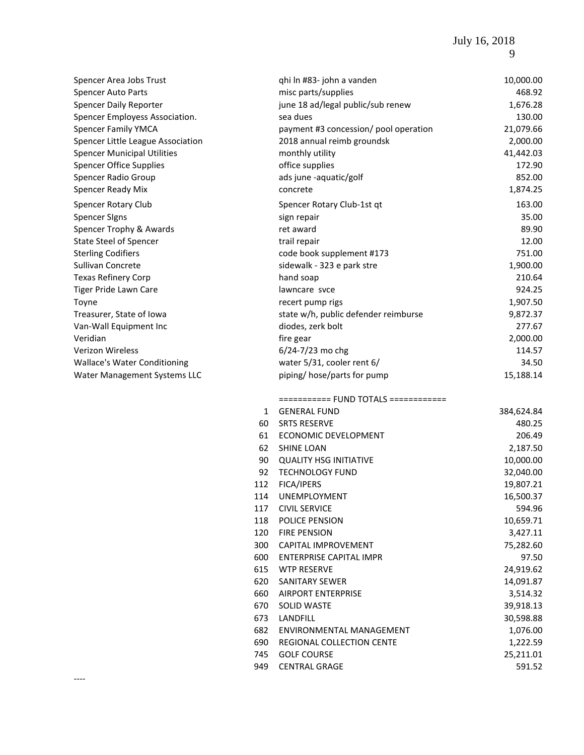| Spencer Area Jobs Trust             |    | qhi ln #83- john a vanden             | 10,000.00  |
|-------------------------------------|----|---------------------------------------|------------|
| <b>Spencer Auto Parts</b>           |    | misc parts/supplies                   | 468.92     |
| <b>Spencer Daily Reporter</b>       |    | june 18 ad/legal public/sub renew     | 1,676.28   |
| Spencer Employess Association.      |    | sea dues                              | 130.00     |
| <b>Spencer Family YMCA</b>          |    | payment #3 concession/ pool operation | 21,079.66  |
| Spencer Little League Association   |    | 2018 annual reimb groundsk            | 2,000.00   |
| <b>Spencer Municipal Utilities</b>  |    | monthly utility                       | 41,442.03  |
| <b>Spencer Office Supplies</b>      |    | office supplies                       | 172.90     |
| Spencer Radio Group                 |    | ads june -aquatic/golf                | 852.00     |
| Spencer Ready Mix                   |    | concrete                              | 1,874.25   |
| Spencer Rotary Club                 |    | Spencer Rotary Club-1st qt            | 163.00     |
| <b>Spencer Signs</b>                |    | sign repair                           | 35.00      |
| Spencer Trophy & Awards             |    | ret award                             | 89.90      |
| <b>State Steel of Spencer</b>       |    | trail repair                          | 12.00      |
| <b>Sterling Codifiers</b>           |    | code book supplement #173             | 751.00     |
| Sullivan Concrete                   |    | sidewalk - 323 e park stre            | 1,900.00   |
| <b>Texas Refinery Corp</b>          |    | hand soap                             | 210.64     |
| <b>Tiger Pride Lawn Care</b>        |    | lawncare svce                         | 924.25     |
| Toyne                               |    | recert pump rigs                      | 1,907.50   |
| Treasurer, State of Iowa            |    | state w/h, public defender reimburse  | 9,872.37   |
| Van-Wall Equipment Inc              |    | diodes, zerk bolt                     | 277.67     |
| Veridian                            |    | fire gear                             | 2,000.00   |
| <b>Verizon Wireless</b>             |    | 6/24-7/23 mo chg                      | 114.57     |
| <b>Wallace's Water Conditioning</b> |    | water 5/31, cooler rent 6/            | 34.50      |
| Water Management Systems LLC        |    | piping/hose/parts for pump            | 15,188.14  |
|                                     |    | =========== FUND TOTALS ============  |            |
|                                     | 1  | <b>GENERAL FUND</b>                   | 384,624.84 |
|                                     | 60 | <b>SRTS RESERVE</b>                   | 480.25     |
|                                     | 61 | <b>ECONOMIC DEVELOPMENT</b>           | 206.49     |
|                                     |    |                                       |            |

| 1   | GENERAL FUND                   | 384,624.84 |
|-----|--------------------------------|------------|
| 60  | <b>SRTS RESERVE</b>            | 480.25     |
| 61  | ECONOMIC DEVELOPMENT           | 206.49     |
| 62  | <b>SHINE LOAN</b>              | 2,187.50   |
| 90  | <b>QUALITY HSG INITIATIVE</b>  | 10,000.00  |
| 92  | <b>TECHNOLOGY FUND</b>         | 32,040.00  |
| 112 | FICA/IPERS                     | 19,807.21  |
| 114 | <b>UNEMPLOYMENT</b>            | 16,500.37  |
| 117 | <b>CIVIL SERVICE</b>           | 594.96     |
| 118 | <b>POLICE PENSION</b>          | 10,659.71  |
| 120 | <b>FIRE PENSION</b>            | 3,427.11   |
| 300 | <b>CAPITAL IMPROVEMENT</b>     | 75,282.60  |
| 600 | <b>ENTERPRISE CAPITAL IMPR</b> | 97.50      |
| 615 | <b>WTP RESERVE</b>             | 24,919.62  |
| 620 | <b>SANITARY SEWER</b>          | 14,091.87  |
| 660 | <b>AIRPORT ENTERPRISE</b>      | 3,514.32   |
| 670 | <b>SOLID WASTE</b>             | 39,918.13  |
| 673 | LANDFILL                       | 30,598.88  |
| 682 | ENVIRONMENTAL MANAGEMENT       | 1,076.00   |
| 690 | REGIONAL COLLECTION CENTE      | 1,222.59   |
| 745 | <b>GOLF COURSE</b>             | 25,211.01  |
| 949 | <b>CENTRAL GRAGE</b>           | 591.52     |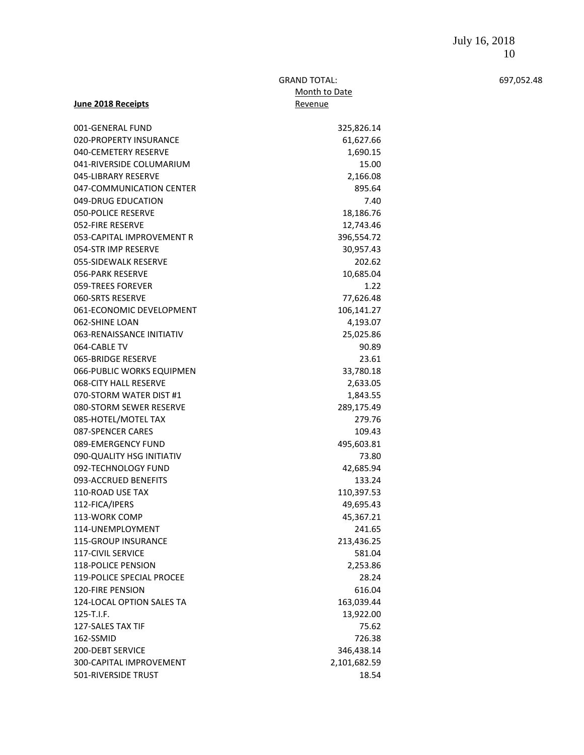#### GRAND TOTAL: 697,052.48 Month to Date Revenue

| 001-GENERAL FUND                                 |                     |
|--------------------------------------------------|---------------------|
| 020-PROPERTY INSURANCE                           | 325,826.14          |
| 040-CEMETERY RESERVE                             | 61,627.66           |
|                                                  | 1,690.15            |
| 041-RIVERSIDE COLUMARIUM                         | 15.00               |
| 045-LIBRARY RESERVE                              | 2,166.08            |
| 047-COMMUNICATION CENTER                         | 895.64              |
| 049-DRUG EDUCATION                               | 7.40                |
| <b>050-POLICE RESERVE</b>                        | 18,186.76           |
| 052-FIRE RESERVE                                 | 12,743.46           |
| 053-CAPITAL IMPROVEMENT R                        | 396,554.72          |
| 054-STR IMP RESERVE                              | 30,957.43           |
| 055-SIDEWALK RESERVE                             | 202.62              |
| 056-PARK RESERVE                                 | 10,685.04           |
| 059-TREES FOREVER                                | 1.22                |
| 060-SRTS RESERVE                                 | 77,626.48           |
| 061-ECONOMIC DEVELOPMENT                         | 106,141.27          |
| 062-SHINE LOAN                                   | 4,193.07            |
| 063-RENAISSANCE INITIATIV                        | 25,025.86           |
| 064-CABLE TV                                     | 90.89               |
| 065-BRIDGE RESERVE                               | 23.61               |
| 066-PUBLIC WORKS EQUIPMEN                        | 33,780.18           |
| 068-CITY HALL RESERVE                            | 2,633.05            |
| 070-STORM WATER DIST #1                          | 1,843.55            |
| 080-STORM SEWER RESERVE                          | 289,175.49          |
| 085-HOTEL/MOTEL TAX                              | 279.76              |
| 087-SPENCER CARES                                | 109.43              |
| 089-EMERGENCY FUND                               | 495,603.81          |
| 090-QUALITY HSG INITIATIV<br>092-TECHNOLOGY FUND | 73.80               |
| 093-ACCRUED BENEFITS                             | 42,685.94<br>133.24 |
| <b>110-ROAD USE TAX</b>                          | 110,397.53          |
| 112-FICA/IPERS                                   | 49,695.43           |
| 113-WORK COMP                                    | 45,367.21           |
| 114-UNEMPLOYMENT                                 | 241.65              |
| 115-GROUP INSURANCE                              | 213,436.25          |
| <b>117-CIVIL SERVICE</b>                         | 581.04              |
| <b>118-POLICE PENSION</b>                        | 2,253.86            |
| <b>119-POLICE SPECIAL PROCEE</b>                 | 28.24               |
| 120-FIRE PENSION                                 | 616.04              |
| 124-LOCAL OPTION SALES TA                        | 163,039.44          |
| 125-T.I.F.                                       | 13,922.00           |
| 127-SALES TAX TIF                                | 75.62               |
| 162-SSMID                                        | 726.38              |
| <b>200-DEBT SERVICE</b>                          | 346,438.14          |
| 300-CAPITAL IMPROVEMENT                          | 2,101,682.59        |
| 501-RIVERSIDE TRUST                              | 18.54               |
|                                                  |                     |

**June 2018 Receipts**